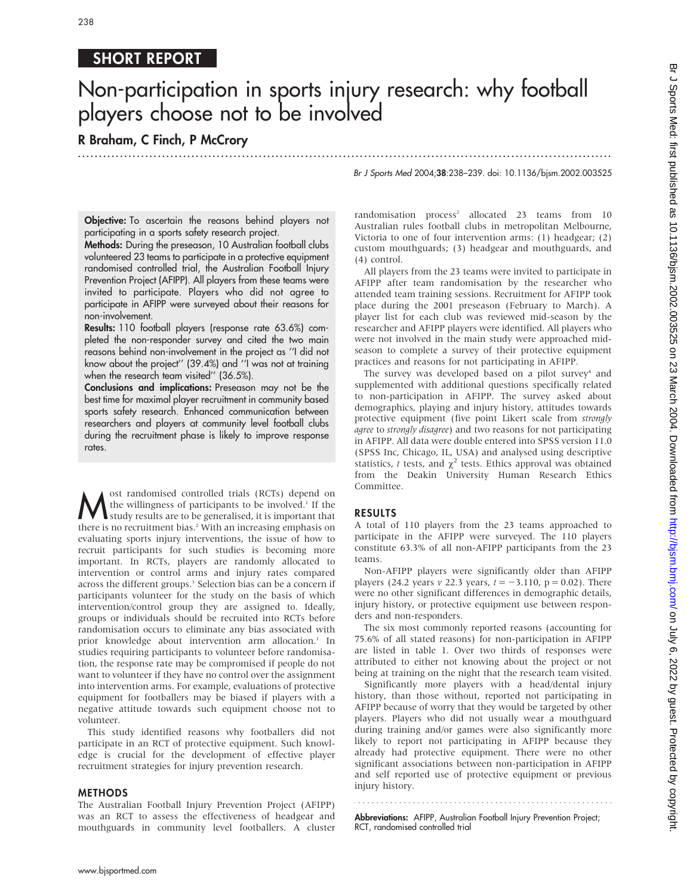# SHORT REPORT

# Non-participation in sports injury research: why football players choose not to be involved

.............................................................................................................................. .

# R Braham, C Finch, P McCrory

Br J Sports Med 2004;38:238–239. doi: 10.1136/bjsm.2002.003525

Objective: To ascertain the reasons behind players not participating in a sports safety research project.

Methods: During the preseason, 10 Australian football clubs volunteered 23 teams to participate in a protective equipment randomised controlled trial, the Australian Football Injury Prevention Project (AFIPP). All players from these teams were invited to participate. Players who did not agree to participate in AFIPP were surveyed about their reasons for non-involvement.

Results: 110 football players (response rate 63.6%) completed the non-responder survey and cited the two main reasons behind non-involvement in the project as ''I did not know about the project'' (39.4%) and ''I was not at training when the research team visited'' (36.5%).

Conclusions and implications: Preseason may not be the best time for maximal player recruitment in community based sports safety research. Enhanced communication between researchers and players at community level football clubs during the recruitment phase is likely to improve response rates.

**M** ost randomised controlled trials (RCTs) depend on the willingness of participants to be involved.<sup>1</sup> If the study results are to be generalised, it is important that there is no recruitment bias <sup>2</sup> With an increasing the willingness of participants to be involved.<sup>1</sup> If the there is no recruitment bias.<sup>2</sup> With an increasing emphasis on evaluating sports injury interventions, the issue of how to recruit participants for such studies is becoming more important. In RCTs, players are randomly allocated to intervention or control arms and injury rates compared across the different groups.<sup>3</sup> Selection bias can be a concern if participants volunteer for the study on the basis of which intervention/control group they are assigned to. Ideally, groups or individuals should be recruited into RCTs before randomisation occurs to eliminate any bias associated with prior knowledge about intervention arm allocation.<sup>1</sup> In studies requiring participants to volunteer before randomisation, the response rate may be compromised if people do not want to volunteer if they have no control over the assignment into intervention arms. For example, evaluations of protective equipment for footballers may be biased if players with a negative attitude towards such equipment choose not to volunteer.

This study identified reasons why footballers did not participate in an RCT of protective equipment. Such knowledge is crucial for the development of effective player recruitment strategies for injury prevention research.

### METHODS

The Australian Football Injury Prevention Project (AFIPP) was an RCT to assess the effectiveness of headgear and mouthguards in community level footballers. A cluster randomisation process<sup>2</sup> allocated 23 teams from 10 Australian rules football clubs in metropolitan Melbourne, Victoria to one of four intervention arms: (1) headgear; (2) custom mouthguards; (3) headgear and mouthguards, and (4) control.

All players from the 23 teams were invited to participate in AFIPP after team randomisation by the researcher who attended team training sessions. Recruitment for AFIPP took place during the 2001 preseason (February to March). A player list for each club was reviewed mid-season by the researcher and AFIPP players were identified. All players who were not involved in the main study were approached midseason to complete a survey of their protective equipment practices and reasons for not participating in AFIPP.

The survey was developed based on a pilot survey<sup>4</sup> and supplemented with additional questions specifically related to non-participation in AFIPP. The survey asked about demographics, playing and injury history, attitudes towards protective equipment (five point Likert scale from strongly agree to strongly disagree) and two reasons for not participating in AFIPP. All data were double entered into SPSS version 11.0 (SPSS Inc, Chicago, IL, USA) and analysed using descriptive statistics, t tests, and  $\chi^2$  tests. Ethics approval was obtained from the Deakin University Human Research Ethics Committee.

## RESULTS

A total of 110 players from the 23 teams approached to participate in the AFIPP were surveyed. The 110 players constitute 63.3% of all non-AFIPP participants from the 23 teams.

Non-AFIPP players were significantly older than AFIPP players (24.2 years v 22.3 years,  $t = -3.110$ , p = 0.02). There were no other significant differences in demographic details, injury history, or protective equipment use between responders and non-responders.

The six most commonly reported reasons (accounting for 75.6% of all stated reasons) for non-participation in AFIPP are listed in table 1. Over two thirds of responses were attributed to either not knowing about the project or not being at training on the night that the research team visited.

Significantly more players with a head/dental injury history, than those without, reported not participating in AFIPP because of worry that they would be targeted by other players. Players who did not usually wear a mouthguard during training and/or games were also significantly more likely to report not participating in AFIPP because they already had protective equipment. There were no other significant associations between non-participation in AFIPP and self reported use of protective equipment or previous injury history.

Abbreviations: AFIPP, Australian Football Injury Prevention Project; RCT, randomised controlled trial